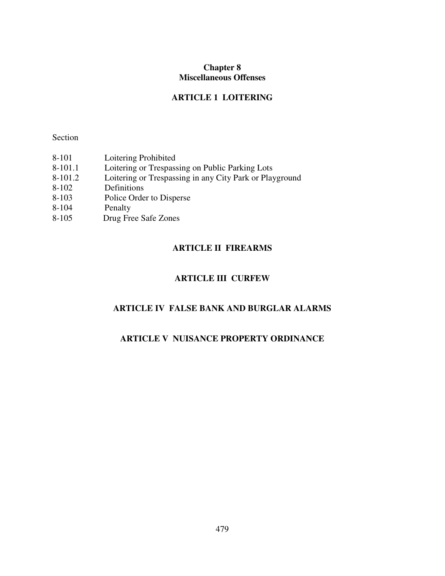## **Chapter 8 Miscellaneous Offenses**

## **ARTICLE 1 LOITERING**

Section

| 8-101     | Loitering Prohibited                                    |
|-----------|---------------------------------------------------------|
| $8-101.1$ | Loitering or Trespassing on Public Parking Lots         |
| 8-101.2   | Loitering or Trespassing in any City Park or Playground |
| $8 - 102$ | Definitions                                             |
| $8 - 103$ | Police Order to Disperse                                |
| $8 - 104$ | Penalty                                                 |
| $8 - 105$ | Drug Free Safe Zones                                    |
|           |                                                         |

# **ARTICLE II FIREARMS**

# **ARTICLE III CURFEW**

# **ARTICLE IV FALSE BANK AND BURGLAR ALARMS**

# **ARTICLE V NUISANCE PROPERTY ORDINANCE**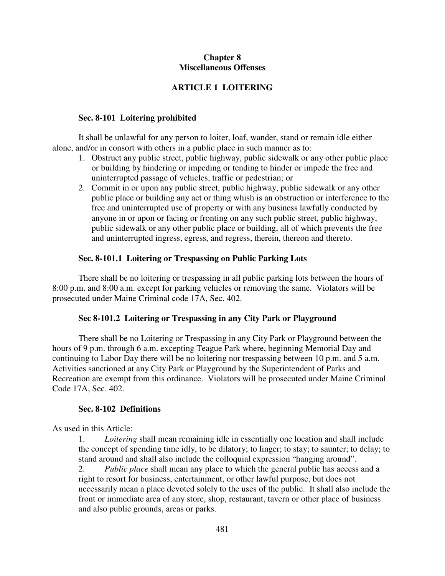### **Chapter 8 Miscellaneous Offenses**

### **ARTICLE 1 LOITERING**

#### **Sec. 8-101 Loitering prohibited**

It shall be unlawful for any person to loiter, loaf, wander, stand or remain idle either alone, and/or in consort with others in a public place in such manner as to:

- 1. Obstruct any public street, public highway, public sidewalk or any other public place or building by hindering or impeding or tending to hinder or impede the free and uninterrupted passage of vehicles, traffic or pedestrian; or
- 2. Commit in or upon any public street, public highway, public sidewalk or any other public place or building any act or thing whish is an obstruction or interference to the free and uninterrupted use of property or with any business lawfully conducted by anyone in or upon or facing or fronting on any such public street, public highway, public sidewalk or any other public place or building, all of which prevents the free and uninterrupted ingress, egress, and regress, therein, thereon and thereto.

#### **Sec. 8-101.1 Loitering or Trespassing on Public Parking Lots**

 There shall be no loitering or trespassing in all public parking lots between the hours of 8:00 p.m. and 8:00 a.m. except for parking vehicles or removing the same. Violators will be prosecuted under Maine Criminal code 17A, Sec. 402.

#### **Sec 8-101.2 Loitering or Trespassing in any City Park or Playground**

 There shall be no Loitering or Trespassing in any City Park or Playground between the hours of 9 p.m. through 6 a.m. excepting Teague Park where, beginning Memorial Day and continuing to Labor Day there will be no loitering nor trespassing between 10 p.m. and 5 a.m. Activities sanctioned at any City Park or Playground by the Superintendent of Parks and Recreation are exempt from this ordinance. Violators will be prosecuted under Maine Criminal Code 17A, Sec. 402.

#### **Sec. 8-102 Definitions**

As used in this Article:

1. *Loitering* shall mean remaining idle in essentially one location and shall include the concept of spending time idly, to be dilatory; to linger; to stay; to saunter; to delay; to stand around and shall also include the colloquial expression "hanging around".

2. *Public place* shall mean any place to which the general public has access and a right to resort for business, entertainment, or other lawful purpose, but does not necessarily mean a place devoted solely to the uses of the public. It shall also include the front or immediate area of any store, shop, restaurant, tavern or other place of business and also public grounds, areas or parks.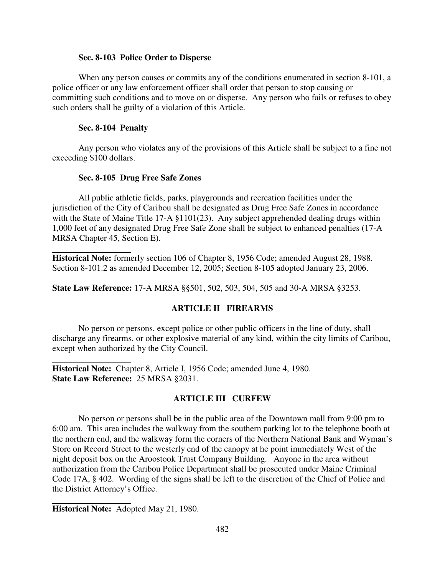#### **Sec. 8-103 Police Order to Disperse**

When any person causes or commits any of the conditions enumerated in section 8-101, a police officer or any law enforcement officer shall order that person to stop causing or committing such conditions and to move on or disperse. Any person who fails or refuses to obey such orders shall be guilty of a violation of this Article.

#### **Sec. 8-104 Penalty**

Any person who violates any of the provisions of this Article shall be subject to a fine not exceeding \$100 dollars.

#### **Sec. 8-105 Drug Free Safe Zones**

 All public athletic fields, parks, playgrounds and recreation facilities under the jurisdiction of the City of Caribou shall be designated as Drug Free Safe Zones in accordance with the State of Maine Title 17-A §1101(23). Any subject apprehended dealing drugs within 1,000 feet of any designated Drug Free Safe Zone shall be subject to enhanced penalties (17-A MRSA Chapter 45, Section E).

**Historical Note:** formerly section 106 of Chapter 8, 1956 Code; amended August 28, 1988. Section 8-101.2 as amended December 12, 2005; Section 8-105 adopted January 23, 2006.

**State Law Reference:** 17-A MRSA §§501, 502, 503, 504, 505 and 30-A MRSA §3253.

### **ARTICLE II FIREARMS**

 No person or persons, except police or other public officers in the line of duty, shall discharge any firearms, or other explosive material of any kind, within the city limits of Caribou, except when authorized by the City Council.

**Historical Note:** Chapter 8, Article I, 1956 Code; amended June 4, 1980. **State Law Reference:** 25 MRSA §2031.

#### **ARTICLE III CURFEW**

 No person or persons shall be in the public area of the Downtown mall from 9:00 pm to 6:00 am. This area includes the walkway from the southern parking lot to the telephone booth at the northern end, and the walkway form the corners of the Northern National Bank and Wyman's Store on Record Street to the westerly end of the canopy at he point immediately West of the night deposit box on the Aroostook Trust Company Building. Anyone in the area without authorization from the Caribou Police Department shall be prosecuted under Maine Criminal Code 17A, § 402. Wording of the signs shall be left to the discretion of the Chief of Police and the District Attorney's Office.

**Historical Note:** Adopted May 21, 1980.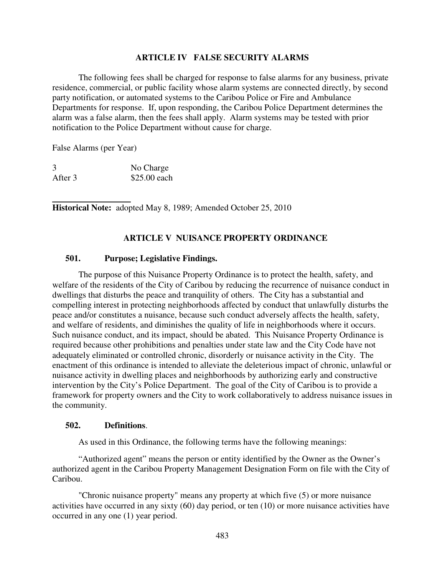#### **ARTICLE IV FALSE SECURITY ALARMS**

 The following fees shall be charged for response to false alarms for any business, private residence, commercial, or public facility whose alarm systems are connected directly, by second party notification, or automated systems to the Caribou Police or Fire and Ambulance Departments for response. If, upon responding, the Caribou Police Department determines the alarm was a false alarm, then the fees shall apply. Alarm systems may be tested with prior notification to the Police Department without cause for charge.

False Alarms (per Year)

| 3       | No Charge    |
|---------|--------------|
| After 3 | \$25.00 each |

 **Historical Note:** adopted May 8, 1989; Amended October 25, 2010

### **ARTICLE V NUISANCE PROPERTY ORDINANCE**

### **501. Purpose; Legislative Findings.**

The purpose of this Nuisance Property Ordinance is to protect the health, safety, and welfare of the residents of the City of Caribou by reducing the recurrence of nuisance conduct in dwellings that disturbs the peace and tranquility of others. The City has a substantial and compelling interest in protecting neighborhoods affected by conduct that unlawfully disturbs the peace and/or constitutes a nuisance, because such conduct adversely affects the health, safety, and welfare of residents, and diminishes the quality of life in neighborhoods where it occurs. Such nuisance conduct, and its impact, should be abated. This Nuisance Property Ordinance is required because other prohibitions and penalties under state law and the City Code have not adequately eliminated or controlled chronic, disorderly or nuisance activity in the City. The enactment of this ordinance is intended to alleviate the deleterious impact of chronic, unlawful or nuisance activity in dwelling places and neighborhoods by authorizing early and constructive intervention by the City's Police Department. The goal of the City of Caribou is to provide a framework for property owners and the City to work collaboratively to address nuisance issues in the community.

#### **502. Definitions**.

As used in this Ordinance, the following terms have the following meanings:

"Authorized agent" means the person or entity identified by the Owner as the Owner's authorized agent in the Caribou Property Management Designation Form on file with the City of Caribou.

"Chronic nuisance property" means any property at which five (5) or more nuisance activities have occurred in any sixty (60) day period, or ten (10) or more nuisance activities have occurred in any one (1) year period.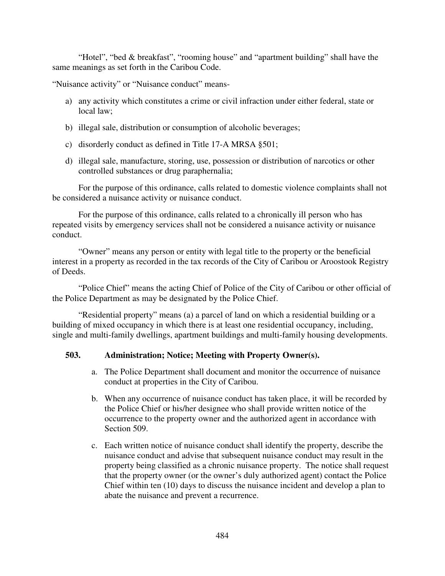"Hotel", "bed & breakfast", "rooming house" and "apartment building" shall have the same meanings as set forth in the Caribou Code.

"Nuisance activity" or "Nuisance conduct" means-

- a) any activity which constitutes a crime or civil infraction under either federal, state or local law;
- b) illegal sale, distribution or consumption of alcoholic beverages;
- c) disorderly conduct as defined in Title 17-A MRSA §501;
- d) illegal sale, manufacture, storing, use, possession or distribution of narcotics or other controlled substances or drug paraphernalia;

For the purpose of this ordinance, calls related to domestic violence complaints shall not be considered a nuisance activity or nuisance conduct.

For the purpose of this ordinance, calls related to a chronically ill person who has repeated visits by emergency services shall not be considered a nuisance activity or nuisance conduct.

"Owner" means any person or entity with legal title to the property or the beneficial interest in a property as recorded in the tax records of the City of Caribou or Aroostook Registry of Deeds.

"Police Chief" means the acting Chief of Police of the City of Caribou or other official of the Police Department as may be designated by the Police Chief.

"Residential property" means (a) a parcel of land on which a residential building or a building of mixed occupancy in which there is at least one residential occupancy, including, single and multi-family dwellings, apartment buildings and multi-family housing developments.

### **503. Administration; Notice; Meeting with Property Owner(s).**

- a. The Police Department shall document and monitor the occurrence of nuisance conduct at properties in the City of Caribou.
- b. When any occurrence of nuisance conduct has taken place, it will be recorded by the Police Chief or his/her designee who shall provide written notice of the occurrence to the property owner and the authorized agent in accordance with Section 509.
- c. Each written notice of nuisance conduct shall identify the property, describe the nuisance conduct and advise that subsequent nuisance conduct may result in the property being classified as a chronic nuisance property. The notice shall request that the property owner (or the owner's duly authorized agent) contact the Police Chief within ten (10) days to discuss the nuisance incident and develop a plan to abate the nuisance and prevent a recurrence.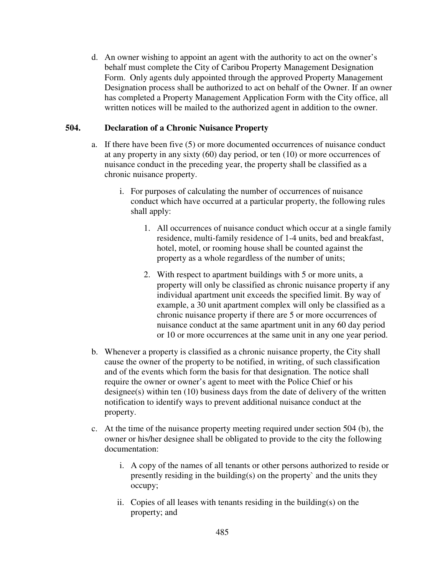d. An owner wishing to appoint an agent with the authority to act on the owner's behalf must complete the City of Caribou Property Management Designation Form. Only agents duly appointed through the approved Property Management Designation process shall be authorized to act on behalf of the Owner. If an owner has completed a Property Management Application Form with the City office, all written notices will be mailed to the authorized agent in addition to the owner.

### **504. Declaration of a Chronic Nuisance Property**

- a. If there have been five (5) or more documented occurrences of nuisance conduct at any property in any sixty (60) day period, or ten (10) or more occurrences of nuisance conduct in the preceding year, the property shall be classified as a chronic nuisance property.
	- i. For purposes of calculating the number of occurrences of nuisance conduct which have occurred at a particular property, the following rules shall apply:
		- 1. All occurrences of nuisance conduct which occur at a single family residence, multi-family residence of 1-4 units, bed and breakfast, hotel, motel, or rooming house shall be counted against the property as a whole regardless of the number of units;
		- 2. With respect to apartment buildings with 5 or more units, a property will only be classified as chronic nuisance property if any individual apartment unit exceeds the specified limit. By way of example, a 30 unit apartment complex will only be classified as a chronic nuisance property if there are 5 or more occurrences of nuisance conduct at the same apartment unit in any 60 day period or 10 or more occurrences at the same unit in any one year period.
- b. Whenever a property is classified as a chronic nuisance property, the City shall cause the owner of the property to be notified, in writing, of such classification and of the events which form the basis for that designation. The notice shall require the owner or owner's agent to meet with the Police Chief or his designee(s) within ten (10) business days from the date of delivery of the written notification to identify ways to prevent additional nuisance conduct at the property.
- c. At the time of the nuisance property meeting required under section 504 (b), the owner or his/her designee shall be obligated to provide to the city the following documentation:
	- i. A copy of the names of all tenants or other persons authorized to reside or presently residing in the building(s) on the property` and the units they occupy;
	- ii. Copies of all leases with tenants residing in the building(s) on the property; and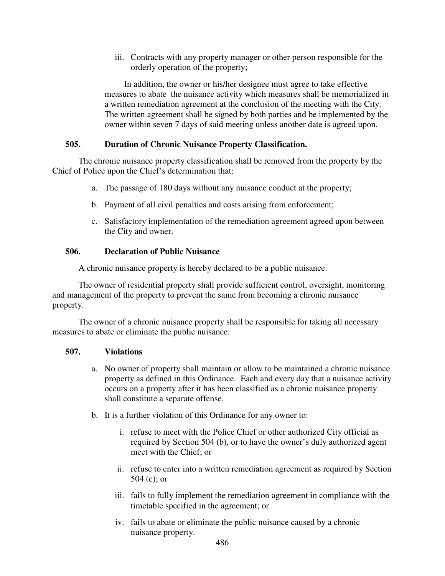iii. Contracts with any property manager or other person responsible for the orderly operation of the property;

In addition, the owner or his/her designee must agree to take effective measures to abate the nuisance activity which measures shall be memorialized in a written remediation agreement at the conclusion of the meeting with the City. The written agreement shall be signed by both parties and be implemented by the owner within seven 7 days of said meeting unless another date is agreed upon.

### **505. Duration of Chronic Nuisance Property Classification.**

The chronic nuisance property classification shall be removed from the property by the Chief of Police upon the Chief's determination that:

- a. The passage of 180 days without any nuisance conduct at the property;
- b. Payment of all civil penalties and costs arising from enforcement;
- c. Satisfactory implementation of the remediation agreement agreed upon between the City and owner.

### **506. Declaration of Public Nuisance**

A chronic nuisance property is hereby declared to be a public nuisance.

The owner of residential property shall provide sufficient control, oversight, monitoring and management of the property to prevent the same from becoming a chronic nuisance property.

The owner of a chronic nuisance property shall be responsible for taking all necessary measures to abate or eliminate the public nuisance.

## **507. Violations**

- a. No owner of property shall maintain or allow to be maintained a chronic nuisance property as defined in this Ordinance. Each and every day that a nuisance activity occurs on a property after it has been classified as a chronic nuisance property shall constitute a separate offense.
- b. It is a further violation of this Ordinance for any owner to:
	- i. refuse to meet with the Police Chief or other authorized City official as required by Section 504 (b), or to have the owner's duly authorized agent meet with the Chief; or
	- ii. refuse to enter into a written remediation agreement as required by Section 504 (c); or
	- iii. fails to fully implement the remediation agreement in compliance with the timetable specified in the agreement; or
	- iv. fails to abate or eliminate the public nuisance caused by a chronic nuisance property.